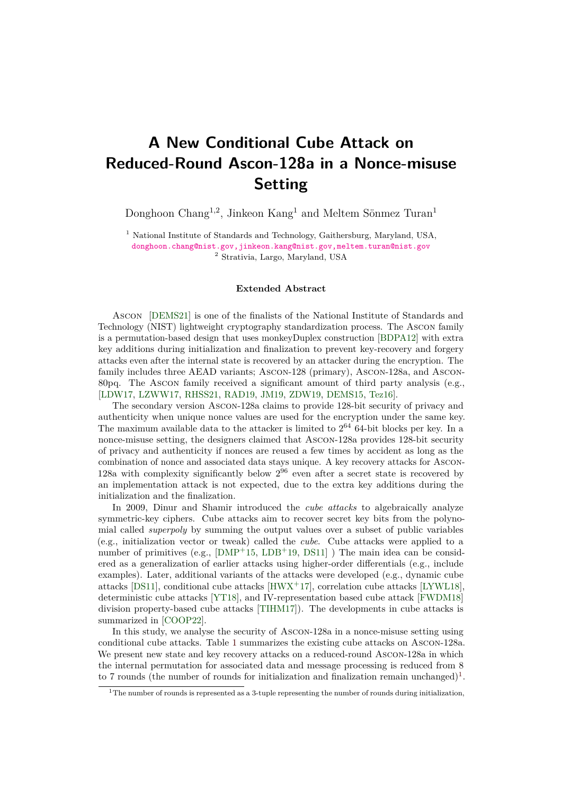## **A New Conditional Cube Attack on Reduced-Round Ascon-128a in a Nonce-misuse Setting**

Donghoon Chang<sup>1,2</sup>, Jinkeon Kang<sup>1</sup> and Meltem Sönmez Turan<sup>1</sup>

<sup>1</sup> National Institute of Standards and Technology, Gaithersburg, Maryland, USA, [donghoon.chang@nist.gov,jinkeon.kang@nist.gov,meltem.turan@nist.gov](mailto:donghoon.chang@nist.gov, jinkeon.kang@nist.gov, meltem.turan@nist.gov) <sup>2</sup> Strativia, Largo, Maryland, USA

## **Extended Abstract**

Ascon [\[DEMS21\]](#page-1-0) is one of the finalists of the National Institute of Standards and Technology (NIST) lightweight cryptography standardization process. The Ascon family is a permutation-based design that uses monkeyDuplex construction [\[BDPA12\]](#page-1-1) with extra key additions during initialization and finalization to prevent key-recovery and forgery attacks even after the internal state is recovered by an attacker during the encryption. The family includes three AEAD variants; Ascon-128 (primary), Ascon-128a, and Ascon-80pq. The Ascon family received a significant amount of third party analysis (e.g., [\[LDW17,](#page-2-0) [LZWW17,](#page-2-1) [RHSS21,](#page-2-2) [RAD19,](#page-2-3) [JM19,](#page-2-4) [ZDW19,](#page-3-0) [DEMS15,](#page-1-2) [Tez16\]](#page-2-5).

The secondary version Ascon-128a claims to provide 128-bit security of privacy and authenticity when unique nonce values are used for the encryption under the same key. The maximum available data to the attacker is limited to  $2^{64}$  64-bit blocks per key. In a nonce-misuse setting, the designers claimed that Ascon-128a provides 128-bit security of privacy and authenticity if nonces are reused a few times by accident as long as the combination of nonce and associated data stays unique. A key recovery attacks for Ascon-128a with complexity significantly below  $2^{96}$  even after a secret state is recovered by an implementation attack is not expected, due to the extra key additions during the initialization and the finalization.

In 2009, Dinur and Shamir introduced the *cube attacks* to algebraically analyze symmetric-key ciphers. Cube attacks aim to recover secret key bits from the polynomial called *superpoly* by summing the output values over a subset of public variables (e.g., initialization vector or tweak) called the *cube*. Cube attacks were applied to a number of primitives (e.g.,  $[DMP+15, LDB+19, DS11]$  $[DMP+15, LDB+19, DS11]$  $[DMP+15, LDB+19, DS11]$  $[DMP+15, LDB+19, DS11]$  $[DMP+15, LDB+19, DS11]$ ) The main idea can be considered as a generalization of earlier attacks using higher-order differentials (e.g., include examples). Later, additional variants of the attacks were developed (e.g., dynamic cube attacks [\[DS11\]](#page-1-4), conditional cube attacks [\[HWX](#page-2-7)<sup>+</sup>17], correlation cube attacks [\[LYWL18\]](#page-2-8), deterministic cube attacks [\[YT18\]](#page-3-1), and IV-representation based cube attack [\[FWDM18\]](#page-2-9) division property-based cube attacks [\[TIHM17\]](#page-2-10)). The developments in cube attacks is summarized in [\[COOP22\]](#page-1-5).

In this study, we analyse the security of Ascon-128a in a nonce-misuse setting using conditional cube attacks. Table [1](#page-1-6) summarizes the existing cube attacks on Ascon-128a. We present new state and key recovery attacks on a reduced-round Ascon-128a in which the internal permutation for associated data and message processing is reduced from 8 to 7 rounds (the number of rounds for initialization and finalization remain unchanged)<sup>[1](#page-0-0)</sup>.

<span id="page-0-0"></span><sup>&</sup>lt;sup>1</sup>The number of rounds is represented as a 3-tuple representing the number of rounds during initialization,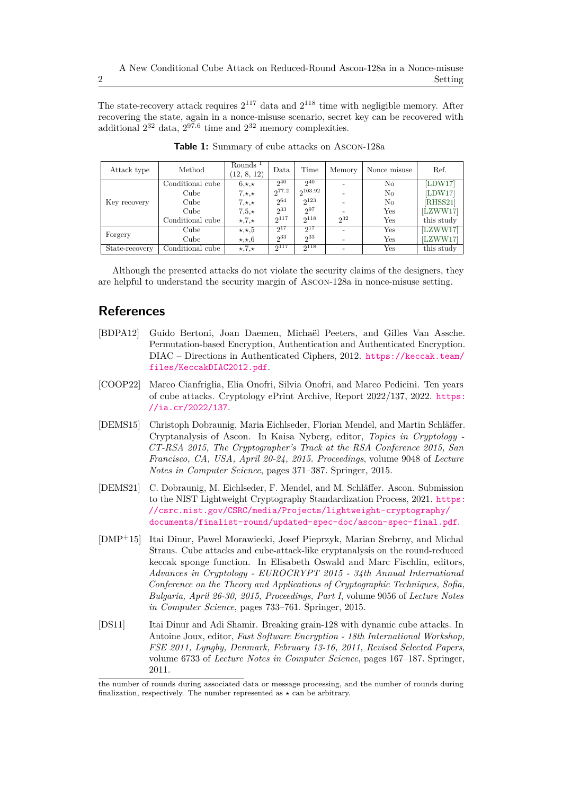The state-recovery attack requires  $2^{117}$  data and  $2^{118}$  time with negligible memory. After recovering the state, again in a nonce-misuse scenario, secret key can be recovered with additional  $2^{32}$  data,  $2^{97.6}$  time and  $2^{32}$  memory complexities.

<span id="page-1-6"></span>

| Attack type    | Method           | Rounds <sup><math>1</math></sup><br>(12, 8, 12) | Data       | Time         | Memory   | Nonce misuse | Ref.       |
|----------------|------------------|-------------------------------------------------|------------|--------------|----------|--------------|------------|
| Key recovery   | Conditional cube | $6, \star, \star$                               | $2^{40}$   | $2^{40}$     |          | No           | [LDW17]    |
|                | Cube             | $7, \star, \star$                               | $2^{77.2}$ | $2^{103.92}$ |          | No           | [LDW17]    |
|                | Cube             | $7, \star, \star$                               | 264        | 2123         |          | No           | [RHSS21]   |
|                | Cube             | $7,5,\star$                                     | 233        | 297          |          | Yes          | [LZWW17]   |
|                | Conditional cube | $\star$ ,7, $\star$                             | $2^{117}$  | $2^{118}$    | $2^{32}$ | Yes          | this study |
| Forgery        | Cube             | $\star, \star, 5$                               | $2^{17}$   | $2^{17}$     |          | Yes          | [LZWW17]   |
|                | Cube             | $\star, \star, 6$                               | $2^{33}$   | 233          |          | Yes          | [LZWW17]   |
| State-recovery | Conditional cube | $\star$ , 7, $\star$                            | $2^{117}$  | $2^{118}$    |          | $_{\rm Yes}$ | this study |

**Table 1:** Summary of cube attacks on Ascon-128a

Although the presented attacks do not violate the security claims of the designers, they are helpful to understand the security margin of Ascon-128a in nonce-misuse setting.

## **References**

- <span id="page-1-1"></span>[BDPA12] Guido Bertoni, Joan Daemen, Michaël Peeters, and Gilles Van Assche. Permutation-based Encryption, Authentication and Authenticated Encryption. DIAC – Directions in Authenticated Ciphers, 2012. [https://keccak.team/](https://keccak.team/files/KeccakDIAC2012.pdf) [files/KeccakDIAC2012.pdf](https://keccak.team/files/KeccakDIAC2012.pdf).
- <span id="page-1-5"></span>[COOP22] Marco Cianfriglia, Elia Onofri, Silvia Onofri, and Marco Pedicini. Ten years of cube attacks. Cryptology ePrint Archive, Report 2022/137, 2022. [https:](https://ia.cr/2022/137) [//ia.cr/2022/137](https://ia.cr/2022/137).
- <span id="page-1-2"></span>[DEMS15] Christoph Dobraunig, Maria Eichlseder, Florian Mendel, and Martin Schläffer. Cryptanalysis of Ascon. In Kaisa Nyberg, editor, *Topics in Cryptology - CT-RSA 2015, The Cryptographer's Track at the RSA Conference 2015, San Francisco, CA, USA, April 20-24, 2015. Proceedings*, volume 9048 of *Lecture Notes in Computer Science*, pages 371–387. Springer, 2015.
- <span id="page-1-0"></span>[DEMS21] C. Dobraunig, M. Eichlseder, F. Mendel, and M. Schläffer. Ascon. Submission to the NIST Lightweight Cryptography Standardization Process, 2021. [https:](https://csrc.nist.gov/CSRC/media/Projects/lightweight-cryptography/documents/finalist-round/updated-spec-doc/ascon-spec-final.pdf) [//csrc.nist.gov/CSRC/media/Projects/lightweight-cryptography/](https://csrc.nist.gov/CSRC/media/Projects/lightweight-cryptography/documents/finalist-round/updated-spec-doc/ascon-spec-final.pdf) [documents/finalist-round/updated-spec-doc/ascon-spec-final.pdf](https://csrc.nist.gov/CSRC/media/Projects/lightweight-cryptography/documents/finalist-round/updated-spec-doc/ascon-spec-final.pdf).
- <span id="page-1-3"></span>[DMP<sup>+</sup>15] Itai Dinur, Pawel Morawiecki, Josef Pieprzyk, Marian Srebrny, and Michal Straus. Cube attacks and cube-attack-like cryptanalysis on the round-reduced keccak sponge function. In Elisabeth Oswald and Marc Fischlin, editors, *Advances in Cryptology - EUROCRYPT 2015 - 34th Annual International Conference on the Theory and Applications of Cryptographic Techniques, Sofia, Bulgaria, April 26-30, 2015, Proceedings, Part I*, volume 9056 of *Lecture Notes in Computer Science*, pages 733–761. Springer, 2015.
- <span id="page-1-4"></span>[DS11] Itai Dinur and Adi Shamir. Breaking grain-128 with dynamic cube attacks. In Antoine Joux, editor, *Fast Software Encryption - 18th International Workshop, FSE 2011, Lyngby, Denmark, February 13-16, 2011, Revised Selected Papers*, volume 6733 of *Lecture Notes in Computer Science*, pages 167–187. Springer, 2011.

the number of rounds during associated data or message processing, and the number of rounds during finalization, respectively. The number represented as  $\star$  can be arbitrary.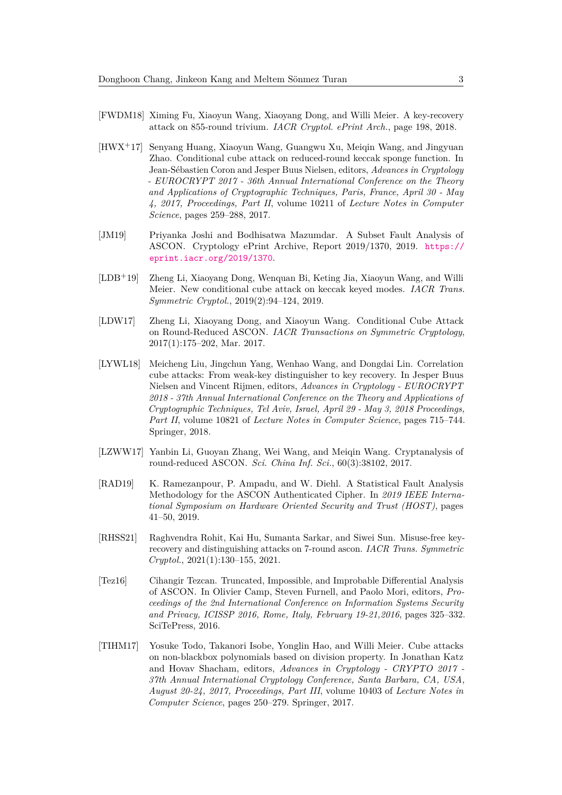- <span id="page-2-9"></span>[FWDM18] Ximing Fu, Xiaoyun Wang, Xiaoyang Dong, and Willi Meier. A key-recovery attack on 855-round trivium. *IACR Cryptol. ePrint Arch.*, page 198, 2018.
- <span id="page-2-7"></span>[HWX<sup>+</sup>17] Senyang Huang, Xiaoyun Wang, Guangwu Xu, Meiqin Wang, and Jingyuan Zhao. Conditional cube attack on reduced-round keccak sponge function. In Jean-Sébastien Coron and Jesper Buus Nielsen, editors, *Advances in Cryptology - EUROCRYPT 2017 - 36th Annual International Conference on the Theory and Applications of Cryptographic Techniques, Paris, France, April 30 - May 4, 2017, Proceedings, Part II*, volume 10211 of *Lecture Notes in Computer Science*, pages 259–288, 2017.
- <span id="page-2-4"></span>[JM19] Priyanka Joshi and Bodhisatwa Mazumdar. A Subset Fault Analysis of ASCON. Cryptology ePrint Archive, Report 2019/1370, 2019. [https://](https://eprint.iacr.org/2019/1370) [eprint.iacr.org/2019/1370](https://eprint.iacr.org/2019/1370).
- <span id="page-2-6"></span>[LDB<sup>+</sup>19] Zheng Li, Xiaoyang Dong, Wenquan Bi, Keting Jia, Xiaoyun Wang, and Willi Meier. New conditional cube attack on keccak keyed modes. *IACR Trans. Symmetric Cryptol.*, 2019(2):94–124, 2019.
- <span id="page-2-0"></span>[LDW17] Zheng Li, Xiaoyang Dong, and Xiaoyun Wang. Conditional Cube Attack on Round-Reduced ASCON. *IACR Transactions on Symmetric Cryptology*, 2017(1):175–202, Mar. 2017.
- <span id="page-2-8"></span>[LYWL18] Meicheng Liu, Jingchun Yang, Wenhao Wang, and Dongdai Lin. Correlation cube attacks: From weak-key distinguisher to key recovery. In Jesper Buus Nielsen and Vincent Rijmen, editors, *Advances in Cryptology - EUROCRYPT 2018 - 37th Annual International Conference on the Theory and Applications of Cryptographic Techniques, Tel Aviv, Israel, April 29 - May 3, 2018 Proceedings, Part II*, volume 10821 of *Lecture Notes in Computer Science*, pages 715–744. Springer, 2018.
- <span id="page-2-1"></span>[LZWW17] Yanbin Li, Guoyan Zhang, Wei Wang, and Meiqin Wang. Cryptanalysis of round-reduced ASCON. *Sci. China Inf. Sci.*, 60(3):38102, 2017.
- <span id="page-2-3"></span>[RAD19] K. Ramezanpour, P. Ampadu, and W. Diehl. A Statistical Fault Analysis Methodology for the ASCON Authenticated Cipher. In *2019 IEEE International Symposium on Hardware Oriented Security and Trust (HOST)*, pages 41–50, 2019.
- <span id="page-2-2"></span>[RHSS21] Raghvendra Rohit, Kai Hu, Sumanta Sarkar, and Siwei Sun. Misuse-free keyrecovery and distinguishing attacks on 7-round ascon. *IACR Trans. Symmetric Cryptol.*, 2021(1):130–155, 2021.
- <span id="page-2-5"></span>[Tez16] Cihangir Tezcan. Truncated, Impossible, and Improbable Differential Analysis of ASCON. In Olivier Camp, Steven Furnell, and Paolo Mori, editors, *Proceedings of the 2nd International Conference on Information Systems Security and Privacy, ICISSP 2016, Rome, Italy, February 19-21,2016*, pages 325–332. SciTePress, 2016.
- <span id="page-2-10"></span>[TIHM17] Yosuke Todo, Takanori Isobe, Yonglin Hao, and Willi Meier. Cube attacks on non-blackbox polynomials based on division property. In Jonathan Katz and Hovav Shacham, editors, *Advances in Cryptology - CRYPTO 2017 - 37th Annual International Cryptology Conference, Santa Barbara, CA, USA, August 20-24, 2017, Proceedings, Part III*, volume 10403 of *Lecture Notes in Computer Science*, pages 250–279. Springer, 2017.